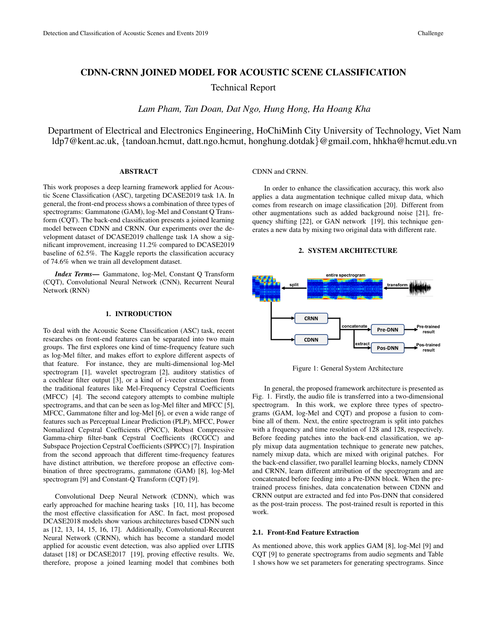# CDNN-CRNN JOINED MODEL FOR ACOUSTIC SCENE CLASSIFICATION

Technical Report

*Lam Pham, Tan Doan, Dat Ngo, Hung Hong, Ha Hoang Kha*

Department of Electrical and Electronics Engineering, HoChiMinh City University of Technology, Viet Nam ldp7@kent.ac.uk, {tandoan.hcmut, datt.ngo.hcmut, honghung.dotdak}@gmail.com, hhkha@hcmut.edu.vn

### ABSTRACT

This work proposes a deep learning framework applied for Acoustic Scene Classification (ASC), targeting DCASE2019 task 1A. In general, the front-end process shows a combination of three types of spectrograms: Gammatone (GAM), log-Mel and Constant Q Transform (CQT). The back-end classification presents a joined learning model between CDNN and CRNN. Our experiments over the development dataset of DCASE2019 challenge task 1A show a significant improvement, increasing 11.2% compared to DCASE2019 baseline of 62.5%. The Kaggle reports the classification accuracy of 74.6% when we train all development dataset.

*Index Terms*— Gammatone, log-Mel, Constant Q Transform (CQT), Convolutional Neural Network (CNN), Recurrent Neural Network (RNN)

## 1. INTRODUCTION

To deal with the Acoustic Scene Classification (ASC) task, recent researches on front-end features can be separated into two main groups. The first explores one kind of time-frequency feature such as log-Mel filter, and makes effort to explore different aspects of that feature. For instance, they are multi-dimensional log-Mel spectrogram [1], wavelet spectrogram [2], auditory statistics of a cochlear filter output [3], or a kind of i-vector extraction from the traditional features like Mel-Frequency Cepstral Coefficients (MFCC) [4]. The second category attempts to combine multiple spectrograms, and that can be seen as log-Mel filter and MFCC [5], MFCC, Gammatone filter and log-Mel [6], or even a wide range of features such as Perceptual Linear Prediction (PLP), MFCC, Power Nomalized Cepstral Coefficients (PNCC), Robust Compressive Gamma-chirp filter-bank Cepstral Coefficients (RCGCC) and Subspace Projection Cepstral Coefficients (SPPCC) [7]. Inspiration from the second approach that different time-frequency features have distinct attribution, we therefore propose an effective combination of three spectrograms, gammatone (GAM) [8], log-Mel spectrogram [9] and Constant-Q Transform (CQT) [9].

Convolutional Deep Neural Network (CDNN), which was early approached for machine hearing tasks [10, 11], has become the most effective classification for ASC. In fact, most proposed DCASE2018 models show various architectures based CDNN such as [12, 13, 14, 15, 16, 17]. Additionally, Convolutional-Recurent Neural Network (CRNN), which has become a standard model applied for acoustic event detection, was also applied over LITIS dataset [18] or DCASE2017 [19], proving effective results. We, therefore, propose a joined learning model that combines both

### CDNN and CRNN.

In order to enhance the classification accuracy, this work also applies a data augmentation technique called mixup data, which comes from research on image classification [20]. Different from other augmentations such as added background noise [21], frequency shifting [22], or GAN network [19], this technique generates a new data by mixing two original data with different rate.

#### 2. SYSTEM ARCHITECTURE



Figure 1: General System Architecture

In general, the proposed framework architecture is presented as Fig. 1. Firstly, the audio file is transferred into a two-dimensional spectrogram. In this work, we explore three types of spectrograms (GAM, log-Mel and CQT) and propose a fusion to combine all of them. Next, the entire spectrogram is split into patches with a frequency and time resolution of 128 and 128, respectively. Before feeding patches into the back-end classification, we apply mixup data augmentation technique to generate new patches, namely mixup data, which are mixed with original patches. For the back-end classifier, two parallel learning blocks, namely CDNN and CRNN, learn different attribution of the spectrogram and are concatenated before feeding into a Pre-DNN block. When the pretrained process finishes, data concatenation between CDNN and CRNN output are extracted and fed into Pos-DNN that considered as the post-train process. The post-trained result is reported in this work.

### 2.1. Front-End Feature Extraction

As mentioned above, this work applies GAM [8], log-Mel [9] and CQT [9] to generate spectrograms from audio segments and Table 1 shows how we set parameters for generating spectrograms. Since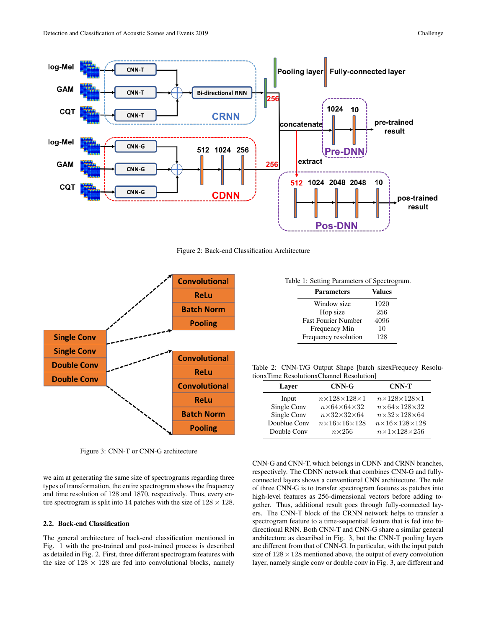

Figure 2: Back-end Classification Architecture



Figure 3: CNN-T or CNN-G architecture

we aim at generating the same size of spectrograms regarding three types of transformation, the entire spectrogram shows the frequency and time resolution of 128 and 1870, respectively. Thus, every entire spectrogram is split into 14 patches with the size of  $128 \times 128$ .

# 2.2. Back-end Classification

The general architecture of back-end classification mentioned in Fig. 1 with the pre-trained and post-trained process is described as detailed in Fig. 2. First, three different spectrogram features with the size of  $128 \times 128$  are fed into convolutional blocks, namely

Table 1: Setting Parameters of Spectrogram.

| <b>Parameters</b>          | <b>Values</b> |
|----------------------------|---------------|
| Window size                | 1920          |
| Hop size                   | 256           |
| <b>Fast Fourier Number</b> | 4096          |
| Frequency Min              | 10            |
| Frequency resolution       | 128           |

Table 2: CNN-T/G Output Shape [batch sizexFrequecy ResolutionxTime ResolutionxChannel Resolution]

| Laver        | $CNN-G$                      | <b>CNN-T</b>                       |
|--------------|------------------------------|------------------------------------|
| Input        | $n\times128\times128\times1$ | $n\times128\times128\times1$       |
| Single Conv  | $n\times64\times64\times32$  | $n\times64\times128\times32$       |
| Single Conv  | $n\times32\times32\times64$  | $n\times32\times128\times64$       |
| Doublue Conv | $n\times16\times16\times128$ | $n\times16\times128\times128$      |
| Double Conv  | $n\times 256$                | $n \times 1 \times 128 \times 256$ |

CNN-G and CNN-T, which belongs in CDNN and CRNN branches, respectively. The CDNN network that combines CNN-G and fullyconnected layers shows a conventional CNN architecture. The role of three CNN-G is to transfer spectrogram features as patches into high-level features as 256-dimensional vectors before adding together. Thus, additional result goes through fully-connected layers. The CNN-T block of the CRNN network helps to transfer a spectrogram feature to a time-sequential feature that is fed into bidirectional RNN. Both CNN-T and CNN-G share a similar general architecture as described in Fig. 3, but the CNN-T pooling layers are different from that of CNN-G. In particular, with the input patch size of  $128 \times 128$  mentioned above, the output of every convolution layer, namely single conv or double conv in Fig. 3, are different and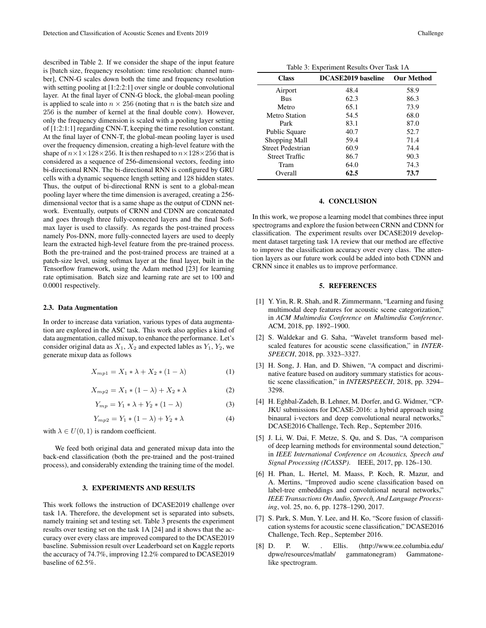described in Table 2. If we consider the shape of the input feature is [batch size, frequency resolution: time resolution: channel number], CNN-G scales down both the time and frequency resolution with setting pooling at [1:2:2:1] over single or double convolutional layer. At the final layer of CNN-G block, the global-mean pooling is applied to scale into  $n \times 256$  (noting that n is the batch size and 256 is the number of kernel at the final double conv). However, only the frequency dimension is scaled with a pooling layer setting of [1:2:1:1] regarding CNN-T, keeping the time resolution constant. At the final layer of CNN-T, the global-mean pooling layer is used over the frequency dimension, creating a high-level feature with the shape of  $n \times 1 \times 128 \times 256$ . It is then reshaped to  $n \times 128 \times 256$  that is considered as a sequence of 256-dimensional vectors, feeding into bi-directional RNN. The bi-directional RNN is configured by GRU cells with a dynamic sequence length setting and 128 hidden states. Thus, the output of bi-directional RNN is sent to a global-mean pooling layer where the time dimension is averaged, creating a 256 dimensional vector that is a same shape as the output of CDNN network. Eventually, outputs of CRNN and CDNN are concatenated and goes through three fully-connected layers and the final Softmax layer is used to classify. As regards the post-trained process namely Pos-DNN, more fully-connected layers are used to deeply learn the extracted high-level feature from the pre-trained process. Both the pre-trained and the post-trained process are trained at a patch-size level, using softmax layer at the final layer, built in the Tensorflow framework, using the Adam method [23] for learning rate optimisation. Batch size and learning rate are set to 100 and 0.0001 respectively.

#### 2.3. Data Augmentation

In order to increase data variation, various types of data augmentation are explored in the ASC task. This work also applies a kind of data augmentation, called mixup, to enhance the performance. Let's consider original data as  $X_1, X_2$  and expected lables as  $Y_1, Y_2$ , we generate mixup data as follows

$$
X_{mp1} = X_1 * \lambda + X_2 * (1 - \lambda)
$$
 (1)

$$
X_{mp2} = X_1 * (1 - \lambda) + X_2 * \lambda \tag{2}
$$

$$
Y_{mp} = Y_1 * \lambda + Y_2 * (1 - \lambda)
$$
 (3)

$$
Y_{mp2} = Y_1 * (1 - \lambda) + Y_2 * \lambda \tag{4}
$$

with  $\lambda \in U(0, 1)$  is random coefficient.

We feed both original data and generated mixup data into the back-end classification (both the pre-trained and the post-trained process), and considerably extending the training time of the model.

## 3. EXPERIMENTS AND RESULTS

This work follows the instruction of DCASE2019 challenge over task 1A. Therefore, the development set is separated into subsets, namely training set and testing set. Table 3 presents the experiment results over testing set on the task 1A [24] and it shows that the accuracy over every class are improved compared to the DCASE2019 baseline. Submission result over Leaderboard set on Kaggle reports the accuracy of 74.7%, improving 12.2% compared to DCASE2019 baseline of 62.5%.

Table 3: Experiment Results Over Task 1A

| <b>Class</b>          | <b>DCASE2019</b> baseline | <b>Our Method</b> |
|-----------------------|---------------------------|-------------------|
| Airport               | 48.4                      | 58.9              |
| <b>Bus</b>            | 62.3                      | 86.3              |
| Metro                 | 65.1                      | 73.9              |
| Metro Station         | 54.5                      | 68.0              |
| Park                  | 83.1                      | 87.0              |
| Public Square         | 40.7                      | 52.7              |
| Shopping Mall         | 59.4                      | 71.4              |
| Street Pedestrian     | 60.9                      | 74.4              |
| <b>Street Traffic</b> | 86.7                      | 90.3              |
| Tram                  | 64.0                      | 74.3              |
| Overall               | 62.5                      | 73.7              |

### 4. CONCLUSION

In this work, we propose a learning model that combines three input spectrograms and explore the fusion between CRNN and CDNN for classification. The experiment results over DCASE2019 development dataset targeting task 1A review that our method are effective to improve the classification accuracy over every class. The attention layers as our future work could be added into both CDNN and CRNN since it enables us to improve performance.

### 5. REFERENCES

- [1] Y. Yin, R. R. Shah, and R. Zimmermann, "Learning and fusing multimodal deep features for acoustic scene categorization, in *ACM Multimedia Conference on Multimedia Conference*. ACM, 2018, pp. 1892–1900.
- [2] S. Waldekar and G. Saha, "Wavelet transform based melscaled features for acoustic scene classification," in *INTER-SPEECH*, 2018, pp. 3323–3327.
- [3] H. Song, J. Han, and D. Shiwen, "A compact and discriminative feature based on auditory summary statistics for acoustic scene classification," in *INTERSPEECH*, 2018, pp. 3294– 3298.
- [4] H. Eghbal-Zadeh, B. Lehner, M. Dorfer, and G. Widmer, "CP-JKU submissions for DCASE-2016: a hybrid approach using binaural i-vectors and deep convolutional neural networks, DCASE2016 Challenge, Tech. Rep., September 2016.
- [5] J. Li, W. Dai, F. Metze, S. Qu, and S. Das, "A comparison of deep learning methods for environmental sound detection," in *IEEE International Conference on Acoustics, Speech and Signal Processing (ICASSP)*. IEEE, 2017, pp. 126–130.
- [6] H. Phan, L. Hertel, M. Maass, P. Koch, R. Mazur, and A. Mertins, "Improved audio scene classification based on label-tree embeddings and convolutional neural networks," *IEEE Transactions On Audio, Speech, And Language Processing*, vol. 25, no. 6, pp. 1278–1290, 2017.
- [7] S. Park, S. Mun, Y. Lee, and H. Ko, "Score fusion of classification systems for acoustic scene classification," DCASE2016 Challenge, Tech. Rep., September 2016.
- [8] D. P. W. . Ellis. (http://www.ee.columbia.edu/ dpwe/resources/matlab/ gammatonegram) Gammatonelike spectrogram.